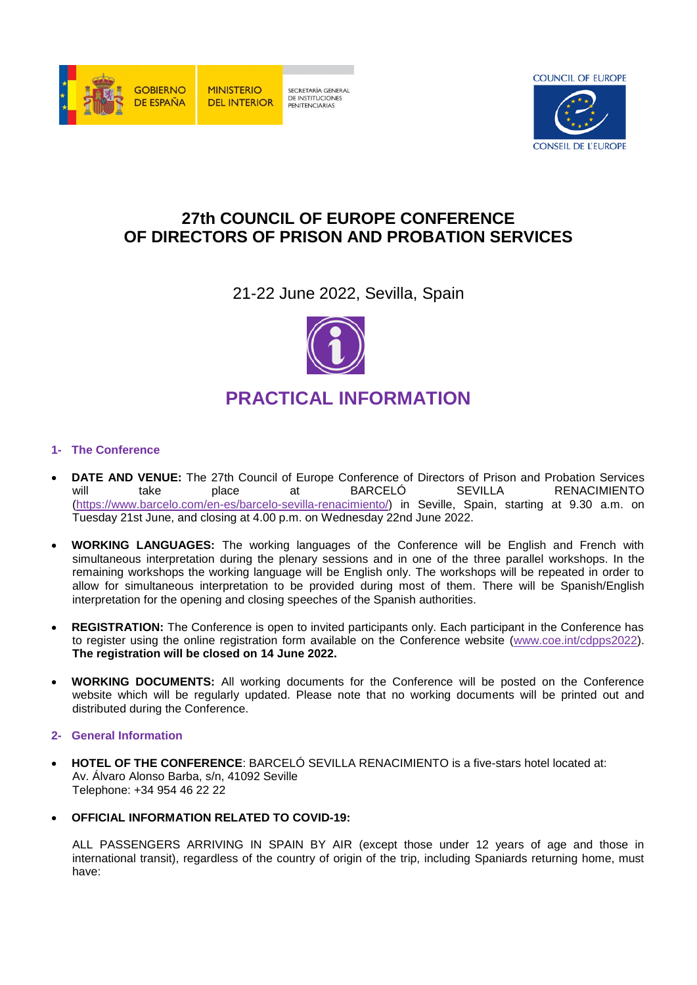



# **27th COUNCIL OF EUROPE CONFERENCE OF DIRECTORS OF PRISON AND PROBATION SERVICES**

21-22 June 2022, Sevilla, Spain



## **1- The Conference**

- **DATE AND VENUE:** The 27th Council of Europe Conference of Directors of Prison and Probation Services<br>
will take blace at BARCELÓ SEVILLA RENACIMIENTO will take place at BARCELÓ SEVILLA RENACIMIENTO [\(https://www.barcelo.com/en-es/barcelo-sevilla-renacimiento/\)](https://www.barcelo.com/en-es/barcelo-sevilla-renacimiento/) in Seville, Spain, starting at 9.30 a.m. on Tuesday 21st June, and closing at 4.00 p.m. on Wednesday 22nd June 2022.
- **WORKING LANGUAGES:** The working languages of the Conference will be English and French with simultaneous interpretation during the plenary sessions and in one of the three parallel workshops. In the remaining workshops the working language will be English only. The workshops will be repeated in order to allow for simultaneous interpretation to be provided during most of them. There will be Spanish/English interpretation for the opening and closing speeches of the Spanish authorities.
- **REGISTRATION:** The Conference is open to invited participants only. Each participant in the Conference has to register using the online registration form available on the Conference website [\(www.coe.int/cdpps2022\)](http://www.coe.int/cdpps2022). **The registration will be closed on 14 June 2022.**
- **WORKING DOCUMENTS:** All working documents for the Conference will be posted on the Conference website which will be regularly updated. Please note that no working documents will be printed out and distributed during the Conference.

## **2- General Information**

- **HOTEL OF THE CONFERENCE**: BARCELÓ SEVILLA RENACIMIENTO is a five-stars hotel located at: Av. Álvaro Alonso Barba, s/n, 41092 Seville Telephone: +34 954 46 22 22
- **OFFICIAL INFORMATION RELATED TO COVID-19:**

ALL PASSENGERS ARRIVING IN SPAIN BY AIR (except those under 12 years of age and those in international transit), regardless of the country of origin of the trip, including Spaniards returning home, must have: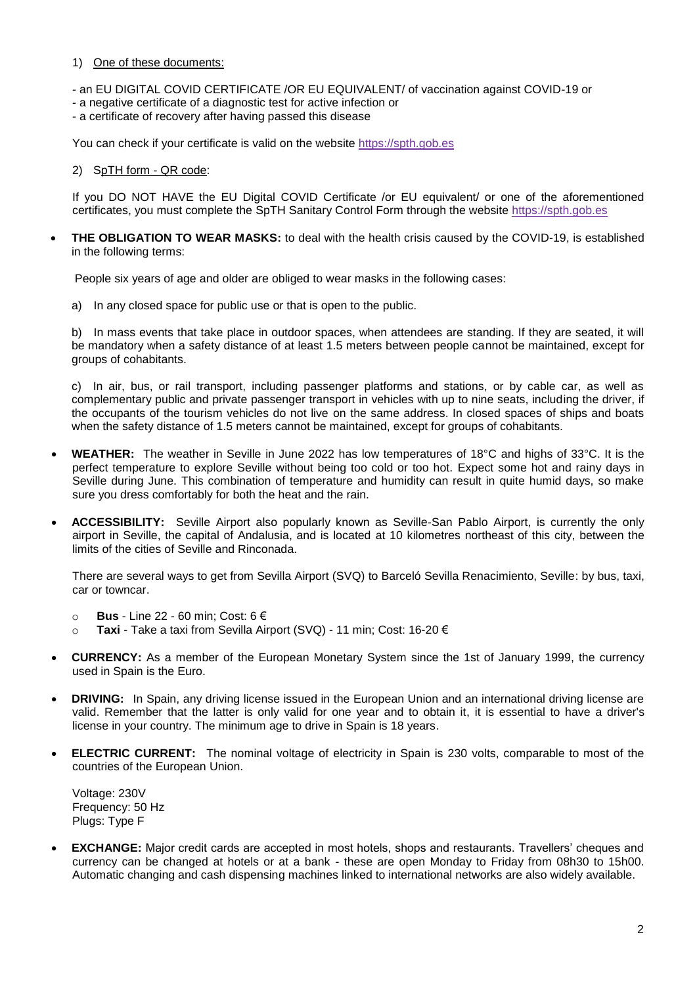#### 1) One of these documents:

- an EU DIGITAL COVID CERTIFICATE /OR EU EQUIVALENT/ of vaccination against COVID-19 or
- a negative certificate of a diagnostic test for active infection or
- a certificate of recovery after having passed this disease

You can check if your certificate is valid on the website [https://spth.gob.es](https://spth.gob.es/)

#### 2) SpTH form - QR code:

If you DO NOT HAVE the EU Digital COVID Certificate /or EU equivalent/ or one of the aforementioned certificates, you must complete the SpTH Sanitary Control Form through the website [https://spth.gob.es](https://spth.gob.es/)

 **THE OBLIGATION TO WEAR MASKS:** to deal with the health crisis caused by the COVID-19, is established in the following terms:

People six years of age and older are obliged to wear masks in the following cases:

a) In any closed space for public use or that is open to the public.

b) In mass events that take place in outdoor spaces, when attendees are standing. If they are seated, it will be mandatory when a safety distance of at least 1.5 meters between people cannot be maintained, except for groups of cohabitants.

c) In air, bus, or rail transport, including passenger platforms and stations, or by cable car, as well as complementary public and private passenger transport in vehicles with up to nine seats, including the driver, if the occupants of the tourism vehicles do not live on the same address. In closed spaces of ships and boats when the safety distance of 1.5 meters cannot be maintained, except for groups of cohabitants.

- **WEATHER:** The weather in Seville in June 2022 has low temperatures of 18°C and highs of 33°C. It is the perfect temperature to explore Seville without being too cold or too hot. Expect some hot and rainy days in Seville during June. This combination of temperature and humidity can result in quite humid days, so make sure you dress comfortably for both the heat and the rain.
- **ACCESSIBILITY:** Seville Airport also popularly known as Seville-San Pablo Airport, is currently the only airport in Seville, the capital of Andalusia, and is located at 10 kilometres northeast of this city, between the limits of the cities of Seville and Rinconada.

There are several ways to get from Sevilla Airport (SVQ) to Barceló Sevilla Renacimiento, Seville: by bus, taxi, car or towncar.

- o **[Bus](https://www.rome2rio.com/map/Funchal-Airport-FNC/VidaMar-Resort-Hotel-Madeira-Dine-Around-Half-Board-Funchal#r/Bus)** Line 22 60 min; Cost: 6 €
- o **Taxi** Take a taxi from Sevilla Airport (SVQ) 11 min; Cost: 16-20 €
- **CURRENCY:** As a member of the European Monetary System since the 1st of January 1999, the currency used in Spain is the Euro.
- **DRIVING:** In Spain, any driving license issued in the European Union and an international driving license are valid. Remember that the latter is only valid for one year and to obtain it, it is essential to have a driver's license in your country. The minimum age to drive in Spain is 18 years.
- **ELECTRIC CURRENT:** The nominal voltage of electricity in Spain is 230 volts, comparable to most of the countries of the European Union.

Voltage: 230V Frequency: 50 Hz Plugs: Type F

 **EXCHANGE:** Major credit cards are accepted in most hotels, shops and restaurants. Travellers' cheques and currency can be changed at hotels or at a bank - these are open Monday to Friday from 08h30 to 15h00. Automatic changing and cash dispensing machines linked to international networks are also widely available.